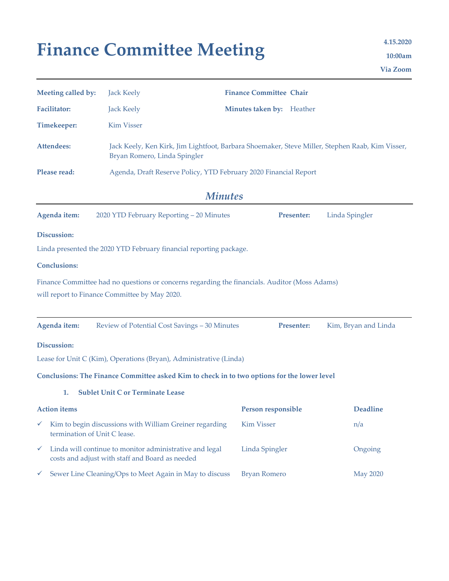# Finance Committee Meeting **1.15.2020**

**10:00am Via Zoom**

| Meeting called by:                                                                                                                             | <b>Jack Keely</b>                                                                                                               | <b>Finance Committee Chair</b> |                      |  |  |  |  |  |
|------------------------------------------------------------------------------------------------------------------------------------------------|---------------------------------------------------------------------------------------------------------------------------------|--------------------------------|----------------------|--|--|--|--|--|
| <b>Facilitator:</b>                                                                                                                            | <b>Jack Keely</b>                                                                                                               | Minutes taken by: Heather      |                      |  |  |  |  |  |
| <b>Timekeeper:</b>                                                                                                                             | <b>Kim Visser</b>                                                                                                               |                                |                      |  |  |  |  |  |
| <b>Attendees:</b>                                                                                                                              | Jack Keely, Ken Kirk, Jim Lightfoot, Barbara Shoemaker, Steve Miller, Stephen Raab, Kim Visser,<br>Bryan Romero, Linda Spingler |                                |                      |  |  |  |  |  |
| Please read:                                                                                                                                   | Agenda, Draft Reserve Policy, YTD February 2020 Financial Report                                                                |                                |                      |  |  |  |  |  |
| <b>Minutes</b>                                                                                                                                 |                                                                                                                                 |                                |                      |  |  |  |  |  |
| Agenda item:                                                                                                                                   | 2020 YTD February Reporting - 20 Minutes                                                                                        | Presenter:                     | Linda Spingler       |  |  |  |  |  |
| Discussion:                                                                                                                                    |                                                                                                                                 |                                |                      |  |  |  |  |  |
|                                                                                                                                                | Linda presented the 2020 YTD February financial reporting package.                                                              |                                |                      |  |  |  |  |  |
| <b>Conclusions:</b>                                                                                                                            |                                                                                                                                 |                                |                      |  |  |  |  |  |
| Finance Committee had no questions or concerns regarding the financials. Auditor (Moss Adams)<br>will report to Finance Committee by May 2020. |                                                                                                                                 |                                |                      |  |  |  |  |  |
| Agenda item:                                                                                                                                   | Review of Potential Cost Savings - 30 Minutes                                                                                   | Presenter:                     | Kim, Bryan and Linda |  |  |  |  |  |
| Discussion:                                                                                                                                    |                                                                                                                                 |                                |                      |  |  |  |  |  |
|                                                                                                                                                | Lease for Unit C (Kim), Operations (Bryan), Administrative (Linda)                                                              |                                |                      |  |  |  |  |  |
|                                                                                                                                                | Conclusions: The Finance Committee asked Kim to check in to two options for the lower level                                     |                                |                      |  |  |  |  |  |
| 1.                                                                                                                                             | <b>Sublet Unit C or Terminate Lease</b>                                                                                         |                                |                      |  |  |  |  |  |
| <b>Action items</b>                                                                                                                            |                                                                                                                                 | <b>Person responsible</b>      | <b>Deadline</b>      |  |  |  |  |  |
| ✓<br>termination of Unit C lease.                                                                                                              | Kim to begin discussions with William Greiner regarding                                                                         | <b>Kim Visser</b>              | n/a                  |  |  |  |  |  |
| ✓                                                                                                                                              | Linda will continue to monitor administrative and legal<br>costs and adjust with staff and Board as needed                      | Linda Spingler                 | Ongoing              |  |  |  |  |  |
| v                                                                                                                                              | Sewer Line Cleaning/Ops to Meet Again in May to discuss                                                                         | <b>Bryan Romero</b>            | <b>May 2020</b>      |  |  |  |  |  |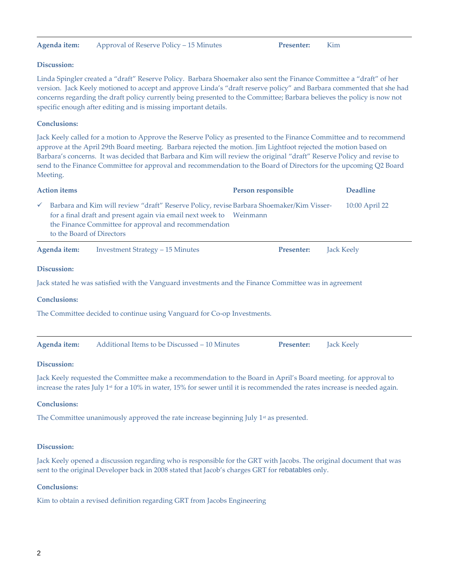## **Agenda item:** Approval of Reserve Policy – 15 Minutes **Presenter:** Kim

## **Discussion:**

Linda Spingler created a "draft" Reserve Policy. Barbara Shoemaker also sent the Finance Committee a "draft" of her version. Jack Keely motioned to accept and approve Linda's "draft reserve policy" and Barbara commented that she had concerns regarding the draft policy currently being presented to the Committee; Barbara believes the policy is now not specific enough after editing and is missing important details.

## **Conclusions:**

Jack Keely called for a motion to Approve the Reserve Policy as presented to the Finance Committee and to recommend approve at the April 29th Board meeting. Barbara rejected the motion. Jim Lightfoot rejected the motion based on Barbara's concerns. It was decided that Barbara and Kim will review the original "draft" Reserve Policy and revise to send to the Finance Committee for approval and recommendation to the Board of Directors for the upcoming Q2 Board Meeting.

| <b>Action items</b>                                                                                   |                           |                                                                                                                                                                                                                          | Person responsible | <b>Deadline</b>   |  |  |  |  |
|-------------------------------------------------------------------------------------------------------|---------------------------|--------------------------------------------------------------------------------------------------------------------------------------------------------------------------------------------------------------------------|--------------------|-------------------|--|--|--|--|
| $\checkmark$                                                                                          | to the Board of Directors | Barbara and Kim will review "draft" Reserve Policy, revise Barbara Shoemaker/Kim Visser-<br>for a final draft and present again via email next week to Weinmann<br>the Finance Committee for approval and recommendation |                    | 10:00 April 22    |  |  |  |  |
|                                                                                                       | Agenda item:              | <b>Investment Strategy – 15 Minutes</b>                                                                                                                                                                                  | <b>Presenter:</b>  | Jack Keely        |  |  |  |  |
|                                                                                                       | Discussion:               |                                                                                                                                                                                                                          |                    |                   |  |  |  |  |
| Jack stated he was satisfied with the Vanguard investments and the Finance Committee was in agreement |                           |                                                                                                                                                                                                                          |                    |                   |  |  |  |  |
|                                                                                                       | <b>Conclusions:</b>       |                                                                                                                                                                                                                          |                    |                   |  |  |  |  |
| The Committee decided to continue using Vanguard for Co-op Investments.                               |                           |                                                                                                                                                                                                                          |                    |                   |  |  |  |  |
|                                                                                                       | Agenda item:              | Additional Items to be Discussed – 10 Minutes                                                                                                                                                                            | <b>Presenter:</b>  | <b>Jack Keely</b> |  |  |  |  |
|                                                                                                       | Discussion:               |                                                                                                                                                                                                                          |                    |                   |  |  |  |  |

Jack Keely requested the Committee make a recommendation to the Board in April's Board meeting. for approval to increase the rates July 1<sup>st</sup> for a 10% in water, 15% for sewer until it is recommended the rates increase is needed again.

#### **Conclusions:**

The Committee unanimously approved the rate increase beginning July  $1<sup>st</sup>$  as presented.

#### **Discussion:**

Jack Keely opened a discussion regarding who is responsible for the GRT with Jacobs. The original document that was sent to the original Developer back in 2008 stated that Jacob's charges GRT for rebatables only.

#### **Conclusions:**

Kim to obtain a revised definition regarding GRT from Jacobs Engineering